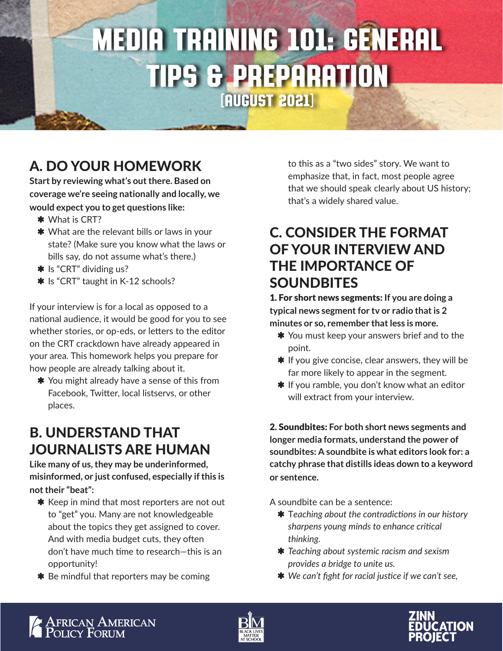## Media Training 101: General Tips & Preparation (August 2021)

A. DO YOUR HOMEWORK

**Start by reviewing what's out there. Based on coverage we're seeing nationally and locally, we would expect you to get questions like:**

- \* What is CRT?
- **\*** What are the relevant bills or laws in your state? (Make sure you know what the laws or bills say, do not assume what's there.)
- \* Is "CRT" dividing us?
- **\*** Is "CRT" taught in K-12 schools?

If your interview is for a local as opposed to a national audience, it would be good for you to see whether stories, or op-eds, or letters to the editor on the CRT crackdown have already appeared in your area. This homework helps you prepare for how people are already talking about it.

**\*** You might already have a sense of this from Facebook, Twitter, local listservs, or other places.

## B. UNDERSTAND THAT JOURNALISTS ARE HUMAN

**Like many of us, they may be underinformed, misinformed, or just confused, especially if this is not their "beat":**

- **\*** Keep in mind that most reporters are not out to "get" you. Many are not knowledgeable about the topics they get assigned to cover. And with media budget cuts, they often don't have much time to research—this is an opportunity!
- $*$  Be mindful that reporters may be coming

to this as a "two sides" story. We want to emphasize that, in fact, most people agree that we should speak clearly about US history; that's a widely shared value.

## C. CONSIDER THE FORMAT OF YOUR INTERVIEW AND THE IMPORTANCE OF **SOUNDBITES**

1. For short news segments: **If you are doing a typical news segment for tv or radio that is 2 minutes or so, remember that less is more.**

- **\*** You must keep your answers brief and to the point.
- $*$  If you give concise, clear answers, they will be far more likely to appear in the segment.
- $*$  If you ramble, you don't know what an editor will extract from your interview.

2. Soundbites: **For both short news segments and longer media formats, understand the power of soundbites: A soundbite is what editors look for: a catchy phrase that distills ideas down to a keyword or sentence.**

A soundbite can be a sentence:

- $\ast$  Teaching about the contradictions in our history *sharpens young minds to enhance critical thinking.*
- Á *Teaching about systemic racism and sexism provides a bridge to unite us.*
- **\*** We can't fight for racial justice if we can't see,